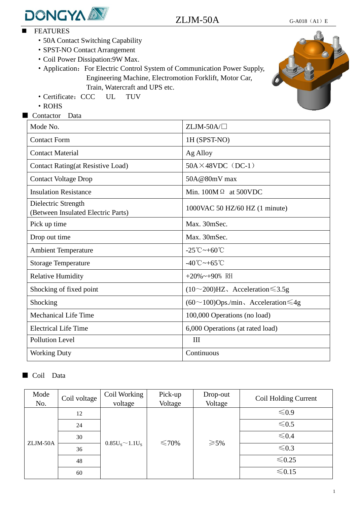

- **EXAMPLE** 
	- ·50A Contact Switching Capability
	- ·SPST-NO Contact Arrangement
	- ·Coil Power Dissipation:9W Max.

• Application: For Electric Control System of Communication Power Supply, Engineering Machine, Electromotion Forklift, Motor Car, Train, Watercraft and UPS etc.

- ·Certificate:CCC UL TUV
- ·ROHS

■ Contactor Data

| Mode No.                                                  | $ZLJM$ -50A/ $\square$                               |  |
|-----------------------------------------------------------|------------------------------------------------------|--|
| <b>Contact Form</b>                                       | 1H (SPST-NO)                                         |  |
| <b>Contact Material</b>                                   | Ag Alloy                                             |  |
| <b>Contact Rating(at Resistive Load)</b>                  | $50A \times 48VDC$ (DC-1)                            |  |
| <b>Contact Voltage Drop</b>                               | $50A@80mV$ max                                       |  |
| <b>Insulation Resistance</b>                              | Min. $100M\Omega$ at 500VDC                          |  |
| Dielectric Strength<br>(Between Insulated Electric Parts) | 1000VAC 50 HZ/60 HZ (1 minute)                       |  |
| Pick up time                                              | Max. 30mSec.                                         |  |
| Drop out time                                             | Max. 30mSec.                                         |  |
| <b>Ambient Temperature</b>                                | $-25^{\circ}\text{C}\rightarrow +60^{\circ}\text{C}$ |  |
| <b>Storage Temperature</b>                                | $-40^{\circ}\text{C}\rightarrow +65^{\circ}\text{C}$ |  |
| <b>Relative Humidity</b>                                  | $+20\%$ ~ $+90\%$ RH                                 |  |
| Shocking of fixed point                                   | $(10~200)$ HZ, Acceleration $\leq 3.5g$              |  |
| Shocking                                                  | $(60 \sim 100)$ Ops./min, Acceleration $\leq 4g$     |  |
| <b>Mechanical Life Time</b>                               | 100,000 Operations (no load)                         |  |
| <b>Electrical Life Time</b>                               | 6,000 Operations (at rated load)                     |  |
| <b>Pollution Level</b>                                    | III                                                  |  |
| <b>Working Duty</b>                                       | Continuous                                           |  |

## ■ Coil Data

| Mode     | Coil voltage | Coil Working          | Pick-up | Drop-out       | Coil Holding Current |
|----------|--------------|-----------------------|---------|----------------|----------------------|
| No.      |              | voltage               | Voltage | Voltage        |                      |
| ZLJM-50A | 12           | $0.85U_S \sim 1.1U_S$ | ≤70%    | $\geqslant$ 5% | $\leq 0.9$           |
|          | 24           |                       |         |                | $\leq 0.5$           |
|          | 30           |                       |         |                | $\leq 0.4$           |
|          | 36           |                       |         |                | $\leq 0.3$           |
|          | 48           |                       |         |                | $≤0.25$              |
|          | 60           |                       |         |                | $≤ 0.15$             |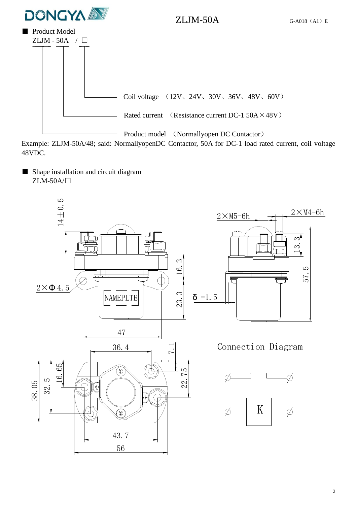

 $ZLJM-50A$  G-A018 (A1) E



Example: ZLJM-50A/48; said: NormallyopenDC Contactor, 50A for DC-1 load rated current, coil voltage 48VDC.

■ Shape installation and circuit diagram ZLM-50A/□